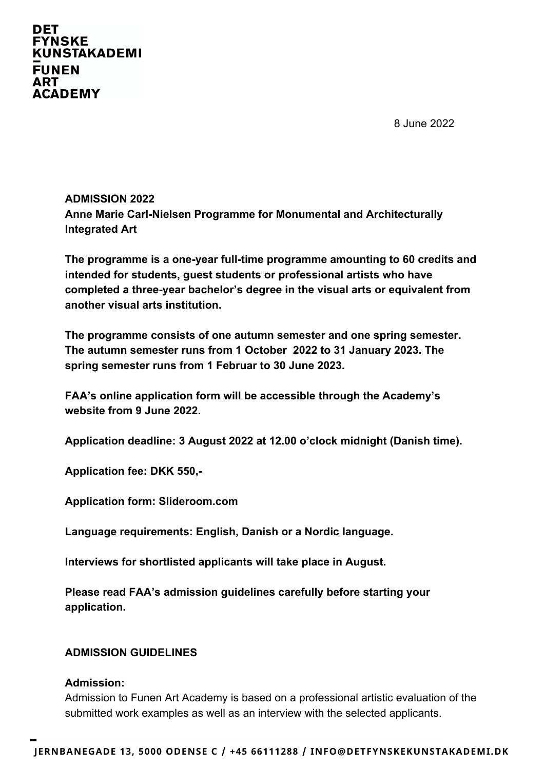**DET FYNSKE KUNSTAKADEMI FUNEN ART ACADEMY** 

8 June 2022

# **ADMISSION 2022 Anne Marie Carl-Nielsen Programme for Monumental and Architecturally Integrated Art**

**The programme is a one-year full-time programme amounting to 60 credits and intended for students, guest students or professional artists who have completed a three-year bachelor's degree in the visual arts or equivalent from another visual arts institution.**

**The programme consists of one autumn semester and one spring semester. The autumn semester runs from 1 October 2022 to 31 January 2023. The spring semester runs from 1 Februar to 30 June 2023.**

**FAA's online application form will be accessible through the Academy's website from 9 June 2022.**

**Application deadline: 3 August 2022 at 12.00 o'clock midnight (Danish time).**

**Application fee: DKK 550,-**

**Application form: Slideroom.com**

**Language requirements: English, Danish or a Nordic language.**

**Interviews for shortlisted applicants will take place in August.**

**Please read FAA's admission guidelines carefully before starting your application.** 

#### **ADMISSION GUIDELINES**

#### **Admission:**

Admission to Funen Art Academy is based on a professional artistic evaluation of the submitted work examples as well as an interview with the selected applicants.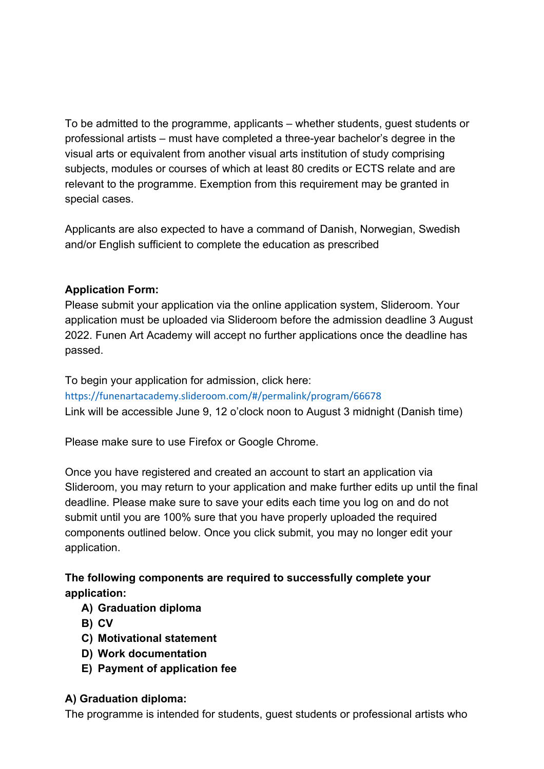To be admitted to the programme, applicants – whether students, guest students or professional artists – must have completed a three-year bachelor's degree in the visual arts or equivalent from another visual arts institution of study comprising subjects, modules or courses of which at least 80 credits or ECTS relate and are relevant to the programme. Exemption from this requirement may be granted in special cases.

Applicants are also expected to have a command of Danish, Norwegian, Swedish and/or English sufficient to complete the education as prescribed

### **Application Form:**

Please submit your application via the online application system, Slideroom. Your application must be uploaded via Slideroom before the admission deadline 3 August 2022. Funen Art Academy will accept no further applications once the deadline has passed.

To begin your application for admission, click here: https://funenartacademy.slideroom.com/#/permalink/program/66678

Link will be accessible June 9, 12 o'clock noon to August 3 midnight (Danish time)

Please make sure to use Firefox or Google Chrome.

Once you have registered and created an account to start an application via Slideroom, you may return to your application and make further edits up until the final deadline. Please make sure to save your edits each time you log on and do not submit until you are 100% sure that you have properly uploaded the required components outlined below. Once you click submit, you may no longer edit your application.

# **The following components are required to successfully complete your application:**

- **A) Graduation diploma**
- **B) CV**
- **C) Motivational statement**
- **D) Work documentation**
- **E) Payment of application fee**

## **A) Graduation diploma:**

The programme is intended for students, guest students or professional artists who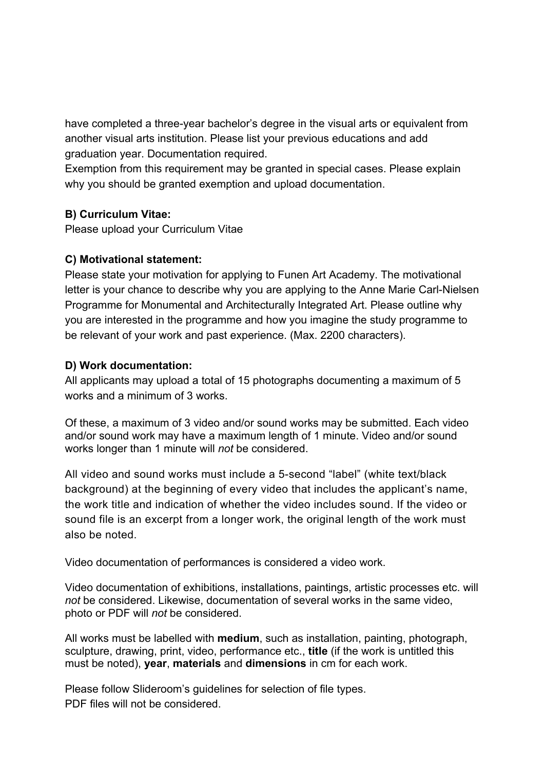have completed a three-year bachelor's degree in the visual arts or equivalent from another visual arts institution. Please list your previous educations and add graduation year. Documentation required.

Exemption from this requirement may be granted in special cases. Please explain why you should be granted exemption and upload documentation.

### **B) Curriculum Vitae:**

Please upload your Curriculum Vitae

## **C) Motivational statement:**

Please state your motivation for applying to Funen Art Academy. The motivational letter is your chance to describe why you are applying to the Anne Marie Carl-Nielsen Programme for Monumental and Architecturally Integrated Art. Please outline why you are interested in the programme and how you imagine the study programme to be relevant of your work and past experience. (Max. 2200 characters).

### **D) Work documentation:**

All applicants may upload a total of 15 photographs documenting a maximum of 5 works and a minimum of 3 works.

Of these, a maximum of 3 video and/or sound works may be submitted. Each video and/or sound work may have a maximum length of 1 minute. Video and/or sound works longer than 1 minute will *not* be considered.

All video and sound works must include a 5-second "label" (white text/black background) at the beginning of every video that includes the applicant's name, the work title and indication of whether the video includes sound. If the video or sound file is an excerpt from a longer work, the original length of the work must also be noted.

Video documentation of performances is considered a video work.

Video documentation of exhibitions, installations, paintings, artistic processes etc. will *not* be considered. Likewise, documentation of several works in the same video, photo or PDF will *not* be considered.

All works must be labelled with **medium**, such as installation, painting, photograph, sculpture, drawing, print, video, performance etc., **title** (if the work is untitled this must be noted), **year**, **materials** and **dimensions** in cm for each work.

Please follow Slideroom's guidelines for selection of file types. PDF files will not be considered.